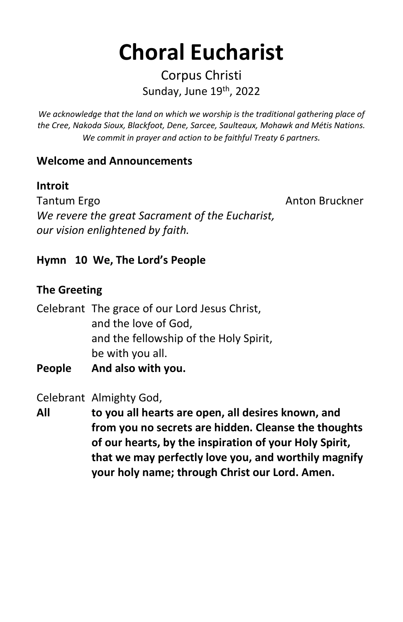# **Choral Eucharist**

### Corpus Christi Sunday, June 19th, 2022

*We acknowledge that the land on which we worship is the traditional gathering place of the Cree, Nakoda Sioux, Blackfoot, Dene, Sarcee, Saulteaux, Mohawk and Métis Nations. We commit in prayer and action to be faithful Treaty 6 partners.*

#### **Welcome and Announcements**

#### **Introit**

Tantum Ergo **Anton Bruckner Anton Bruckner** *We revere the great Sacrament of the Eucharist, our vision enlightened by faith.*

#### **Hymn 10 We, The Lord's People**

#### **The Greeting**

Celebrant The grace of our Lord Jesus Christ, and the love of God, and the fellowship of the Holy Spirit, be with you all. **People And also with you.** 

Celebrant Almighty God,

**All to you all hearts are open, all desires known, and from you no secrets are hidden. Cleanse the thoughts of our hearts, by the inspiration of your Holy Spirit, that we may perfectly love you, and worthily magnify your holy name; through Christ our Lord. Amen.**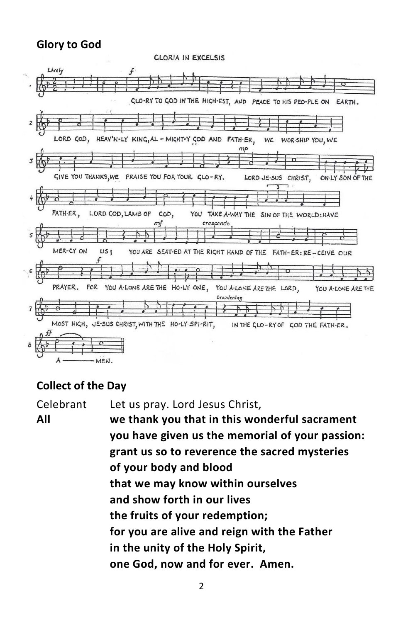#### **Glory to God**



#### **Collect of the Day**

Celebrant Let us pray. Lord Jesus Christ, **All we thank you that in this wonderful sacrament you have given us the memorial of your passion: grant us so to reverence the sacred mysteries of your body and blood that we may know within ourselves and show forth in our lives the fruits of your redemption; for you are alive and reign with the Father in the unity of the Holy Spirit, one God, now and for ever. Amen.**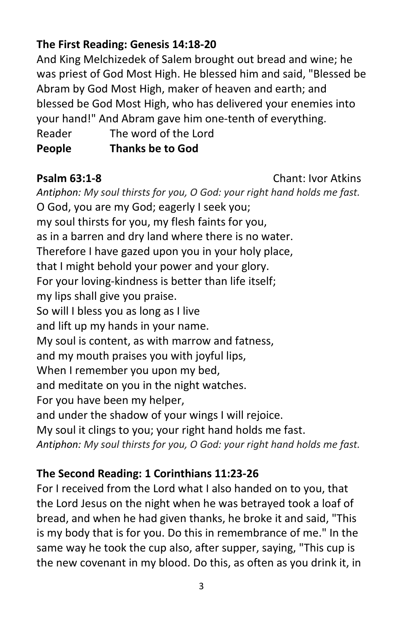#### **The First Reading: Genesis 14:18-20**

And King Melchizedek of Salem brought out bread and wine; he was priest of God Most High. He blessed him and said, "Blessed be Abram by God Most High, maker of heaven and earth; and blessed be God Most High, who has delivered your enemies into your hand!" And Abram gave him one-tenth of everything. Reader The word of the Lord

**People Thanks be to God**

#### **Psalm 63:1-8** Chant: Ivor Atkins

*Antiphon: My soul thirsts for you, O God: your right hand holds me fast.*  O God, you are my God; eagerly I seek you; my soul thirsts for you, my flesh faints for you, as in a barren and dry land where there is no water. Therefore I have gazed upon you in your holy place, that I might behold your power and your glory. For your loving-kindness is better than life itself; my lips shall give you praise. So will I bless you as long as I live and lift up my hands in your name. My soul is content, as with marrow and fatness, and my mouth praises you with joyful lips, When I remember you upon my bed, and meditate on you in the night watches. For you have been my helper, and under the shadow of your wings I will rejoice. My soul it clings to you; your right hand holds me fast. *Antiphon: My soul thirsts for you, O God: your right hand holds me fast.* 

#### **The Second Reading: 1 Corinthians 11:23-26**

For I received from the Lord what I also handed on to you, that the Lord Jesus on the night when he was betrayed took a loaf of bread, and when he had given thanks, he broke it and said, "This is my body that is for you. Do this in remembrance of me." In the same way he took the cup also, after supper, saying, "This cup is the new covenant in my blood. Do this, as often as you drink it, in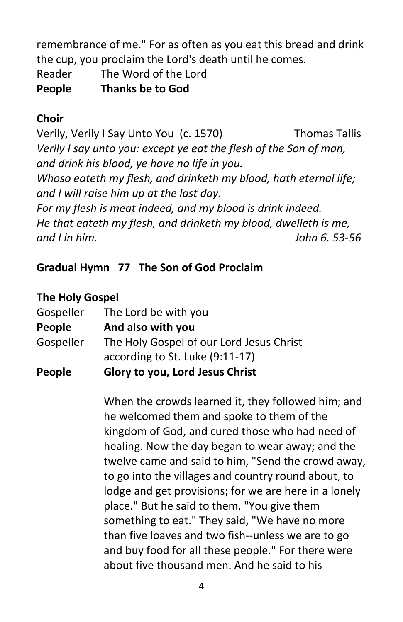remembrance of me." For as often as you eat this bread and drink the cup, you proclaim the Lord's death until he comes.

Reader The Word of the Lord

**People Thanks be to God**

### **Choir**

Verily, Verily I Say Unto You (c. 1570) Thomas Tallis *Verily I say unto you: except ye eat the flesh of the Son of man, and drink his blood, ye have no life in you. Whoso eateth my flesh, and drinketh my blood, hath eternal life; and I will raise him up at the last day. For my flesh is meat indeed, and my blood is drink indeed. He that eateth my flesh, and drinketh my blood, dwelleth is me, and I in him. John 6. 53-56*

### **Gradual Hymn 77 The Son of God Proclaim**

#### **The Holy Gospel**

| People    | Glory to you, Lord Jesus Christ          |
|-----------|------------------------------------------|
|           | according to St. Luke (9:11-17)          |
| Gospeller | The Holy Gospel of our Lord Jesus Christ |
| People    | And also with you                        |
| Gospeller | The Lord be with you                     |

When the crowds learned it, they followed him; and he welcomed them and spoke to them of the kingdom of God, and cured those who had need of healing. Now the day began to wear away; and the twelve came and said to him, "Send the crowd away, to go into the villages and country round about, to lodge and get provisions; for we are here in a lonely place." But he said to them, "You give them something to eat." They said, "We have no more than five loaves and two fish--unless we are to go and buy food for all these people." For there were about five thousand men. And he said to his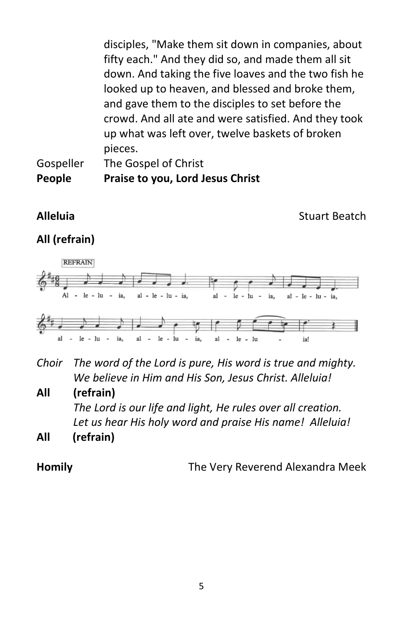disciples, "Make them sit down in companies, about fifty each." And they did so, and made them all sit down. And taking the five loaves and the two fish he looked up to heaven, and blessed and broke them, and gave them to the disciples to set before the crowd. And all ate and were satisfied. And they took up what was left over, twelve baskets of broken pieces.

Gospeller The Gospel of Christ **People Praise to you, Lord Jesus Christ**

**Alleluia Contract Beatch Contract Beatch Contract Beatch Contract Beatch** 

### **All (refrain)**



*Choir The word of the Lord is pure, His word is true and mighty. We believe in Him and His Son, Jesus Christ. Alleluia!*

**All (refrain)** 

*The Lord is our life and light, He rules over all creation. Let us hear His holy word and praise His name! Alleluia!*

**All (refrain)** 

**Homily** The Very Reverend Alexandra Meek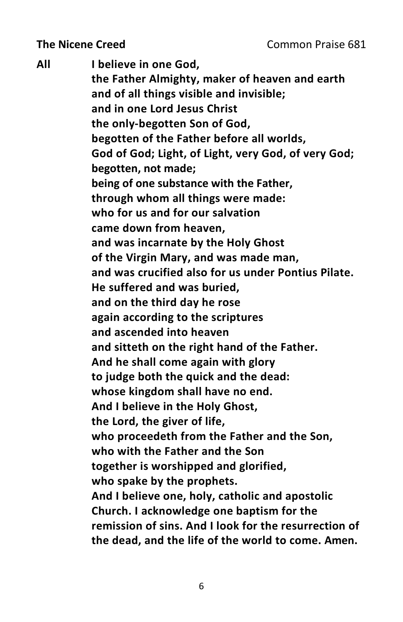**All I believe in one God, the Father Almighty, maker of heaven and earth and of all things visible and invisible; and in one Lord Jesus Christ the only-begotten Son of God, begotten of the Father before all worlds, God of God; Light, of Light, very God, of very God; begotten, not made; being of one substance with the Father, through whom all things were made: who for us and for our salvation came down from heaven, and was incarnate by the Holy Ghost of the Virgin Mary, and was made man, and was crucified also for us under Pontius Pilate. He suffered and was buried, and on the third day he rose again according to the scriptures and ascended into heaven and sitteth on the right hand of the Father. And he shall come again with glory to judge both the quick and the dead: whose kingdom shall have no end. And I believe in the Holy Ghost, the Lord, the giver of life, who proceedeth from the Father and the Son, who with the Father and the Son together is worshipped and glorified, who spake by the prophets. And I believe one, holy, catholic and apostolic Church. I acknowledge one baptism for the remission of sins. And I look for the resurrection of the dead, and the life of the world to come. Amen.**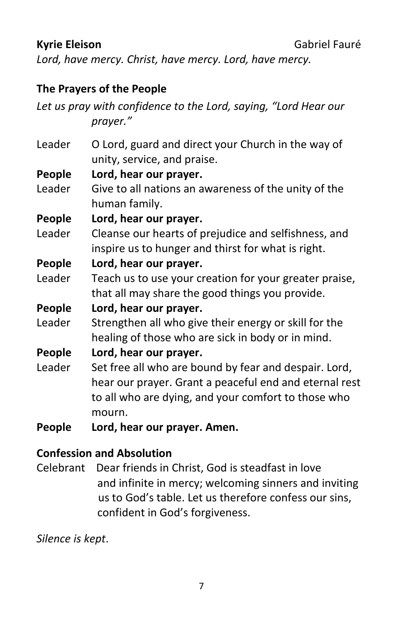*Lord, have mercy. Christ, have mercy. Lord, have mercy.*

#### **The Prayers of the People**

*Let us pray with confidence to the Lord, saying, "Lord Hear our prayer."*

Leader O Lord, guard and direct your Church in the way of unity, service, and praise.

**People Lord, hear our prayer.** 

Leader Give to all nations an awareness of the unity of the human family.

**People Lord, hear our prayer.** 

Leader Cleanse our hearts of prejudice and selfishness, and inspire us to hunger and thirst for what is right.

#### **People Lord, hear our prayer.**

- Leader Teach us to use your creation for your greater praise, that all may share the good things you provide.
- **People Lord, hear our prayer.**
- Leader Strengthen all who give their energy or skill for the healing of those who are sick in body or in mind.

**People Lord, hear our prayer.** 

- Leader Set free all who are bound by fear and despair. Lord, hear our prayer. Grant a peaceful end and eternal rest to all who are dying, and your comfort to those who mourn.
- **People Lord, hear our prayer. Amen.**

#### **Confession and Absolution**

Celebrant Dear friends in Christ, God is steadfast in love and infinite in mercy; welcoming sinners and inviting us to God's table. Let us therefore confess our sins, confident in God's forgiveness.

*Silence is kept*.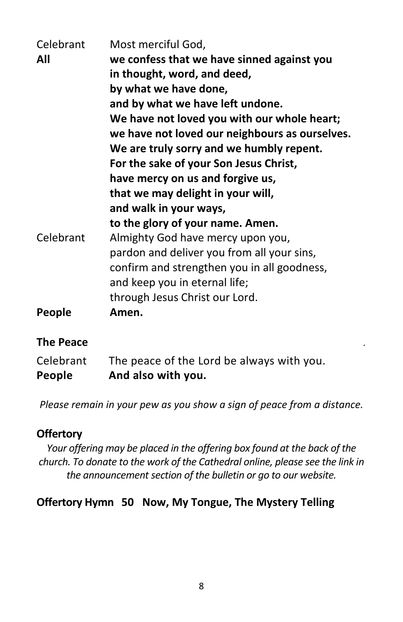| Celebrant | Most merciful God,                             |
|-----------|------------------------------------------------|
| All       | we confess that we have sinned against you     |
|           | in thought, word, and deed,                    |
|           | by what we have done,                          |
|           | and by what we have left undone.               |
|           | We have not loved you with our whole heart;    |
|           | we have not loved our neighbours as ourselves. |
|           | We are truly sorry and we humbly repent.       |
|           | For the sake of your Son Jesus Christ,         |
|           | have mercy on us and forgive us,               |
|           | that we may delight in your will,              |
|           | and walk in your ways,                         |
|           | to the glory of your name. Amen.               |
| Celebrant | Almighty God have mercy upon you,              |
|           | pardon and deliver you from all your sins,     |
|           | confirm and strengthen you in all goodness,    |
|           | and keep you in eternal life;                  |
|           | through Jesus Christ our Lord.                 |
| People    | Amen.                                          |
|           |                                                |

#### **The Peace** *.*

| Celebrant | The peace of the Lord be always with you. |
|-----------|-------------------------------------------|
| People    | And also with you.                        |

*Please remain in your pew as you show a sign of peace from a distance.*

#### **Offertory**

*Your offering may be placed in the offering box found at the back of the church. To donate to the work of the Cathedral online, please see the link in the announcement section of the bulletin or go to our website.* 

#### **Offertory Hymn 50 Now, My Tongue, The Mystery Telling**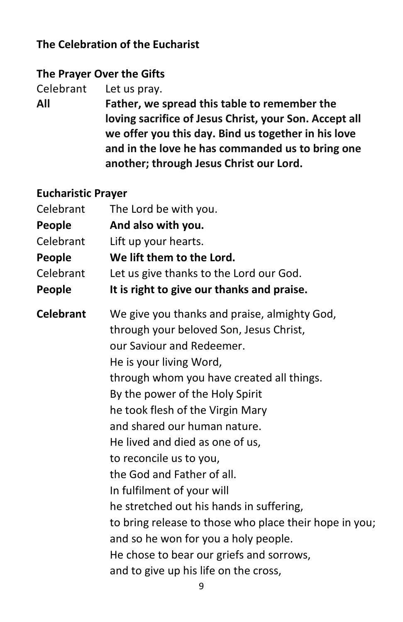#### **The Celebration of the Eucharist**

#### **The Prayer Over the Gifts**

Celebrant Let us pray.

**All Father, we spread this table to remember the loving sacrifice of Jesus Christ, your Son. Accept all we offer you this day. Bind us together in his love and in the love he has commanded us to bring one another; through Jesus Christ our Lord.**

#### **Eucharistic Prayer**

| Celebrant        | The Lord be with you.                                  |
|------------------|--------------------------------------------------------|
| People           | And also with you.                                     |
| Celebrant        | Lift up your hearts.                                   |
| People           | We lift them to the Lord.                              |
| Celebrant        | Let us give thanks to the Lord our God.                |
| People           | It is right to give our thanks and praise.             |
| <b>Celebrant</b> | We give you thanks and praise, almighty God,           |
|                  | through your beloved Son, Jesus Christ,                |
|                  | our Saviour and Redeemer.                              |
|                  | He is your living Word,                                |
|                  | through whom you have created all things.              |
|                  | By the power of the Holy Spirit                        |
|                  | he took flesh of the Virgin Mary                       |
|                  | and shared our human nature.                           |
|                  | He lived and died as one of us,                        |
|                  | to reconcile us to you,                                |
|                  | the God and Father of all.                             |
|                  | In fulfilment of your will                             |
|                  | he stretched out his hands in suffering,               |
|                  | to bring release to those who place their hope in you; |
|                  | and so he won for you a holy people.                   |
|                  | He chose to bear our griefs and sorrows,               |
|                  | and to give up his life on the cross,                  |
|                  |                                                        |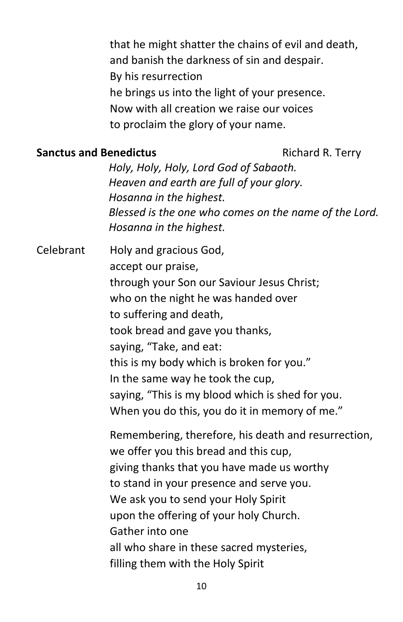that he might shatter the chains of evil and death, and banish the darkness of sin and despair. By his resurrection he brings us into the light of your presence. Now with all creation we raise our voices to proclaim the glory of your name.

#### **Sanctus and Benedictus Richard R. Terry**

*Holy, Holy, Holy, Lord God of Sabaoth. Heaven and earth are full of your glory. Hosanna in the highest. Blessed is the one who comes on the name of the Lord. Hosanna in the highest.*

Celebrant Holy and gracious God, accept our praise, through your Son our Saviour Jesus Christ; who on the night he was handed over to suffering and death, took bread and gave you thanks, saying, "Take, and eat: this is my body which is broken for you." In the same way he took the cup, saying, "This is my blood which is shed for you. When you do this, you do it in memory of me." Remembering, therefore, his death and resurrection, we offer you this bread and this cup, giving thanks that you have made us worthy to stand in your presence and serve you. We ask you to send your Holy Spirit upon the offering of your holy Church. Gather into one all who share in these sacred mysteries,

filling them with the Holy Spirit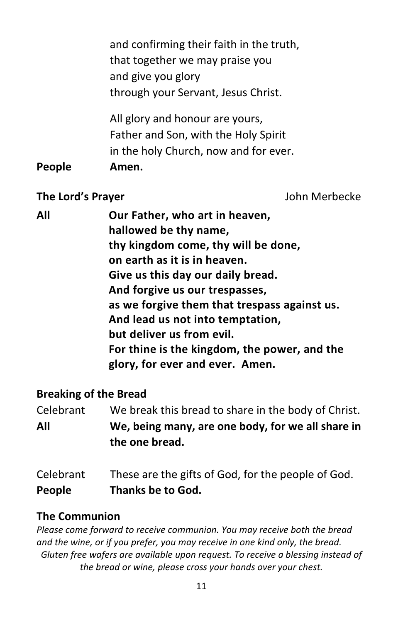|               | and confirming their faith in the truth,<br>that together we may praise you                                      |
|---------------|------------------------------------------------------------------------------------------------------------------|
|               | and give you glory<br>through your Servant, Jesus Christ.                                                        |
|               | All glory and honour are yours,<br>Father and Son, with the Holy Spirit<br>in the holy Church, now and for ever. |
| <b>People</b> | Amen.                                                                                                            |

#### **The Lord's Prayer** John Merbecke

| All | Our Father, who art in heaven,               |
|-----|----------------------------------------------|
|     | hallowed be thy name,                        |
|     | thy kingdom come, thy will be done,          |
|     | on earth as it is in heaven.                 |
|     | Give us this day our daily bread.            |
|     | And forgive us our trespasses,               |
|     | as we forgive them that trespass against us. |
|     | And lead us not into temptation,             |
|     | but deliver us from evil.                    |
|     | For thine is the kingdom, the power, and the |
|     | glory, for ever and ever. Amen.              |
|     |                                              |

#### **Breaking of the Bread**

Celebrant We break this bread to share in the body of Christ. **All We, being many, are one body, for we all share in the one bread.**

| Celebrant     | These are the gifts of God, for the people of God. |
|---------------|----------------------------------------------------|
| <b>People</b> | Thanks be to God.                                  |

#### **The Communion**

*Please come forward to receive communion. You may receive both the bread and the wine, or if you prefer, you may receive in one kind only, the bread. Gluten free wafers are available upon request. To receive a blessing instead of the bread or wine, please cross your hands over your chest.*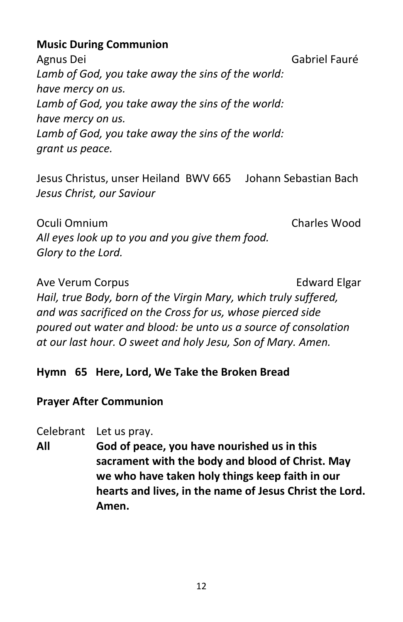#### **Music During Communion**

Agnus Dei Gabriel Fauré *Lamb of God, you take away the sins of the world: have mercy on us. Lamb of God, you take away the sins of the world: have mercy on us. Lamb of God, you take away the sins of the world: grant us peace.*

Jesus Christus, unser Heiland BWV 665 Johann Sebastian Bach *Jesus Christ, our Saviour*

Oculi Omnium Charles Wood *All eyes look up to you and you give them food. Glory to the Lord.*

Ave Verum Corpus **Edward Elgar** *Hail, true Body, born of the Virgin Mary, which truly suffered, and was sacrificed on the Cross for us, whose pierced side poured out water and blood: be unto us a source of consolation at our last hour. O sweet and holy Jesu, Son of Mary. Amen.*

#### **Hymn 65 Here, Lord, We Take the Broken Bread**

#### **Prayer After Communion**

Celebrant Let us pray.

**All God of peace, you have nourished us in this sacrament with the body and blood of Christ. May we who have taken holy things keep faith in our hearts and lives, in the name of Jesus Christ the Lord. Amen.**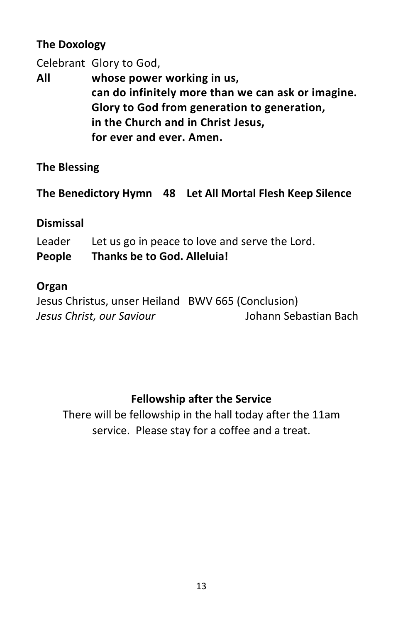#### **The Doxology**

Celebrant Glory to God,

**All whose power working in us, can do infinitely more than we can ask or imagine. Glory to God from generation to generation, in the Church and in Christ Jesus, for ever and ever. Amen.**

#### **The Blessing**

**The Benedictory Hymn 48 Let All Mortal Flesh Keep Silence**

#### **Dismissal**

Leader Let us go in peace to love and serve the Lord. **People Thanks be to God. Alleluia!**

#### **Organ**

Jesus Christus, unser Heiland BWV 665 (Conclusion) *Jesus Christ, our Saviour* Johann Sebastian Bach

#### **Fellowship after the Service**

There will be fellowship in the hall today after the 11am service. Please stay for a coffee and a treat.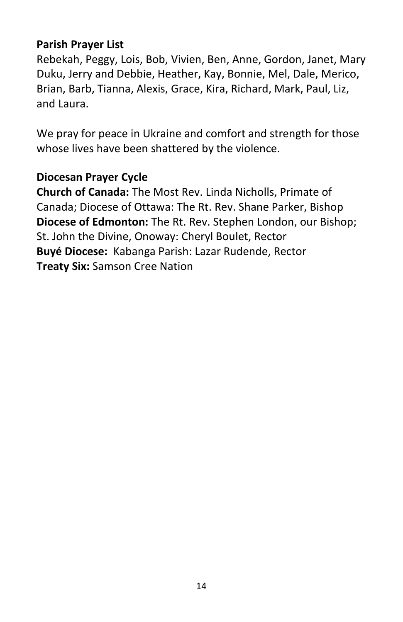#### **Parish Prayer List**

Rebekah, Peggy, Lois, Bob, Vivien, Ben, Anne, Gordon, Janet, Mary Duku, Jerry and Debbie, Heather, Kay, Bonnie, Mel, Dale, Merico, Brian, Barb, Tianna, Alexis, Grace, Kira, Richard, Mark, Paul, Liz, and Laura.

We pray for peace in Ukraine and comfort and strength for those whose lives have been shattered by the violence.

#### **Diocesan Prayer Cycle**

**Church of Canada:** The Most Rev. Linda Nicholls, Primate of Canada; Diocese of Ottawa: The Rt. Rev. Shane Parker, Bishop **Diocese of Edmonton:** The Rt. Rev. Stephen London, our Bishop; St. John the Divine, Onoway: Cheryl Boulet, Rector **Buyé Diocese:** Kabanga Parish: Lazar Rudende, Rector **Treaty Six:** Samson Cree Nation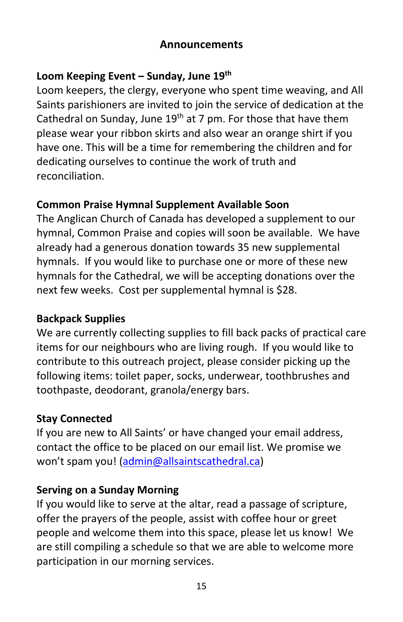#### **Announcements**

#### **Loom Keeping Event – Sunday, June 19th**

Loom keepers, the clergy, everyone who spent time weaving, and All Saints parishioners are invited to join the service of dedication at the Cathedral on Sunday, June  $19<sup>th</sup>$  at 7 pm. For those that have them please wear your ribbon skirts and also wear an orange shirt if you have one. This will be a time for remembering the children and for dedicating ourselves to continue the work of truth and reconciliation.

#### **Common Praise Hymnal Supplement Available Soon**

The Anglican Church of Canada has developed a supplement to our hymnal, Common Praise and copies will soon be available. We have already had a generous donation towards 35 new supplemental hymnals. If you would like to purchase one or more of these new hymnals for the Cathedral, we will be accepting donations over the next few weeks. Cost per supplemental hymnal is \$28.

#### **Backpack Supplies**

We are currently collecting supplies to fill back packs of practical care items for our neighbours who are living rough. If you would like to contribute to this outreach project, please consider picking up the following items: toilet paper, socks, underwear, toothbrushes and toothpaste, deodorant, granola/energy bars.

#### **Stay Connected**

If you are new to All Saints' or have changed your email address, contact the office to be placed on our email list. We promise we won't spam you! [\(admin@allsaintscathedral.ca\)](mailto:admin@allsaintscathedral.ca)

#### **Serving on a Sunday Morning**

If you would like to serve at the altar, read a passage of scripture, offer the prayers of the people, assist with coffee hour or greet people and welcome them into this space, please let us know! We are still compiling a schedule so that we are able to welcome more participation in our morning services.